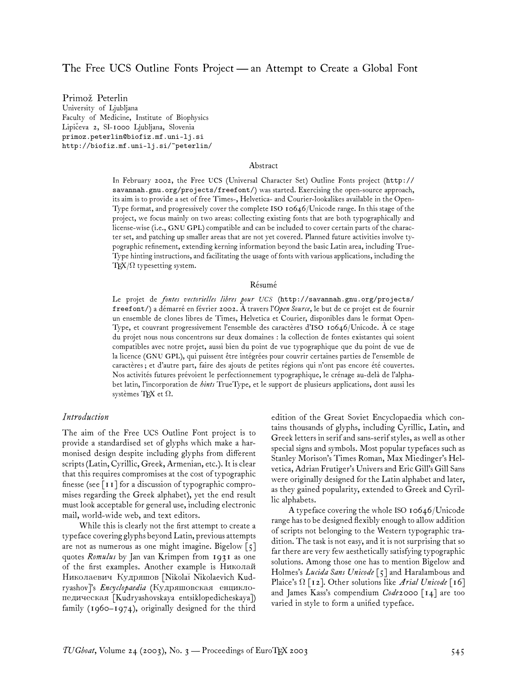## The Free UCS Outline Fonts Project— an Attempt to Create a Global Font

Primož Peterlin University of Ljubljana Faculty of Medicine, Institute of Biophysics Lipičeva 2, SI-1000 Ljubljana, Slovenia primoz.peterlin@biofiz.mf.uni-lj.si http://biofiz.mf.uni-lj.si/~peterlin/

#### Abstract

In February 2002, the Free UCS (Universal Character Set) Outline Fonts project (http:// savannah.gnu.org/projects/freefont/) was started. Exercising the open-source approach, its aim is to provide a set of free Times-, Helvetica- and Courier-lookalikes available in the Open-Type format, and progressively cover the complete ISO 10646/Unicode range. In this stage of the project, we focus mainly on two areas: collecting existing fonts that are both typographically and license-wise (i.e., GNU GPL) compatible and can be included to cover certain parts of the character set, and patching up smaller areas that are not yet covered. Planned future activities involve typographic refinement, extending kerning information beyond the basic Latin area, including True-Type hinting instructions, and facilitating the usage of fonts with various applications, including the TEX/ $\Omega$  typesetting system.

#### Résumé

Le projet de *fontes vectorielles libres pour UCS* (http://savannah.gnu.org/projects/ freefont/) a démarré en février 2002. À travers l'*Open Source*, le but de ce projet est de fournir un ensemble de clones libres de Times, Helvetica et Courier, disponibles dans le format Open-Type, et couvrant progressivement l'ensemble des caractères d'ISO 10646/Unicode. À ce stage du projet nous nous concentrons sur deux domaines : la collection de fontes existantes qui soient compatibles avec notre projet, aussi bien du point de vue typographique que du point de vue de la licence (GNU GPL), qui puissent être intégrées pour couvrir certaines parties de l'ensemble de caractères ; et d'autre part, faire des ajouts de petites régions qui n'ont pas encore été couvertes. Nos activités futures prévoient le perfectionnement typographique, le crénage au-delà de l'alphabet latin, l'incorporation de *hints* TrueType, et le support de plusieurs applications, dont aussi les systèmes TEX et Ω.

### *Introduction*

The aim of the Free UCS Outline Font project is to provide a standardised set of glyphs which make a harmonised design despite including glyphs from different scripts (Latin, Cyrillic, Greek, Armenian, etc.). It is clear that this requires compromises at the cost of typographic finesse (see  $\lceil \mathbf{I} \rceil$  for a discussion of typographic compromises regarding the Greek alphabet), yet the end result must look acceptable for general use, including electronic mail, world-wide web, and text editors.

While this is clearly not the first attempt to create a typeface covering glyphs beyond Latin, previous attempts are not as numerous as one might imagine. Bigelow  $\lceil 5 \rceil$ quotes *Romulus* by Jan van Krimpen from 1931 as one of the first examples. Another example is Николай Николаевич Кудряшов [Nikolaĭ Nikolaevich Kudryashov]'s Encyclopaedia (Кудряшовская енциклопедическая [Kudryashovskaya entsiklopedicheskaya]) family (1960–1974), originally designed for the third

edition of the Great Soviet Encyclopaedia which contains thousands of glyphs, including Cyrillic, Latin, and Greek letters in serif and sans-serif styles, as well as other special signs and symbols. Most popular typefaces such as Stanley Morison's Times Roman, Max Miedinger's Helvetica, Adrian Frutiger's Univers and Eric Gill's Gill Sans were originally designed for the Latin alphabet and later, as they gained popularity, extended to Greek and Cyrillic alphabets.

A typeface covering the whole ISO 10646/Unicode range has to be designed flexibly enough to allow addition of scripts not belonging to the Western typographic tradition. The task is not easy, and it is not surprising that so far there are very few aesthetically satisfying typographic solutions. Among those one has to mention Bigelow and Holmes's *Lucida Sans Unicode* [5] and Haralambous and Plaice's Ω [12]. Other solutions like *Arial Unicode* [16] and James Kass's compendium *Code2000* [14] are too varied in style to form a unified typeface.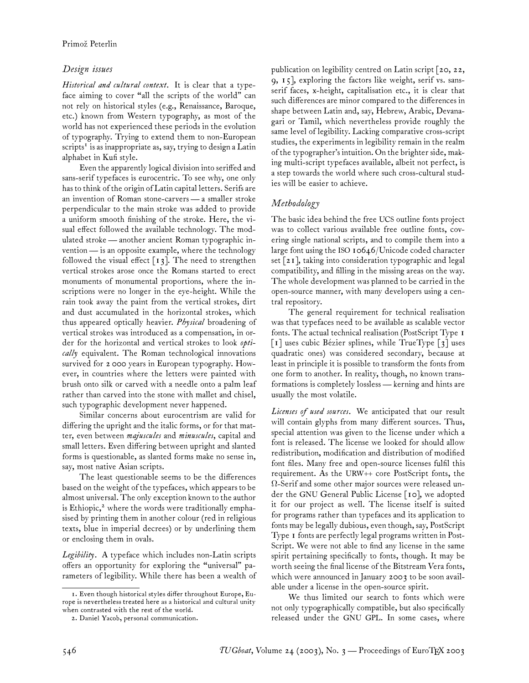# *Design issues*

*Historical and cultural context.* It is clear that a typeface aiming to cover "all the scripts of the world" can not rely on historical styles (e.g., Renaissance, Baroque, etc.) known from Western typography, as most of the world has not experienced these periods in the evolution of typography. Trying to extend them to non-European scripts $^{\mathrm{r}}$  is as inappropriate as, say, trying to design a Latin alphabet in Kufi style.

Even the apparently logical division into seriffed and sans-serif typefaces is eurocentric. To see why, one only has to think of the origin of Latin capital letters. Serifs are an invention of Roman stone-carvers— a smaller stroke perpendicular to the main stroke was added to provide a uniform smooth finishing of the stroke. Here, the visual effect followed the available technology. The modulated stroke— another ancient Roman typographic invention— is an opposite example, where the technology followed the visual effect  $\lceil 13 \rceil$ . The need to strengthen vertical strokes arose once the Romans started to erect monuments of monumental proportions, where the inscriptions were no longer in the eye-height. While the rain took away the paint from the vertical strokes, dirt and dust accumulated in the horizontal strokes, which thus appeared optically heavier. *Physical* broadening of vertical strokes was introduced as a compensation, in order for the horizontal and vertical strokes to look *optically* equivalent. The Roman technological innovations survived for 2 000 years in European typography. However, in countries where the letters were painted with brush onto silk or carved with a needle onto a palm leaf rather than carved into the stone with mallet and chisel, such typographic development never happened.

Similar concerns about eurocentrism are valid for differing the upright and the italic forms, or for that matter, even between *majuscules* and *minuscules*, capital and small letters. Even differing between upright and slanted forms is questionable, as slanted forms make no sense in, say, most native Asian scripts.

The least questionable seems to be the differences based on the weight of the typefaces, which appears to be almost universal. The only exception known to the author is Ethiopic,<sup>2</sup> where the words were traditionally emphasised by printing them in another colour (red in religious texts, blue in imperial decrees) or by underlining them or enclosing them in ovals.

*Legibility.* A typeface which includes non-Latin scripts offers an opportunity for exploring the "universal" parameters of legibility. While there has been a wealth of publication on legibility centred on Latin script [20, 22, 9, 15], exploring the factors like weight, serif vs. sansserif faces, x-height, capitalisation etc., it is clear that such differences are minor compared to the differences in shape between Latin and, say, Hebrew, Arabic, Devanagari or Tamil, which nevertheless provide roughly the same level of legibility. Lacking comparative cross-script studies, the experiments in legibility remain in the realm of the typographer's intuition. On the brighter side, making multi-script typefaces available, albeit not perfect, is a step towards the world where such cross-cultural studies will be easier to achieve.

## *Methodology*

The basic idea behind the free UCS outline fonts project was to collect various available free outline fonts, covering single national scripts, and to compile them into a large font using the ISO 10646/Unicode coded character set [21], taking into consideration typographic and legal compatibility, and filling in the missing areas on the way. The whole development was planned to be carried in the open-source manner, with many developers using a central repository.

The general requirement for technical realisation was that typefaces need to be available as scalable vector fonts. The actual technical realisation (PostScript Type 1 [1] uses cubic Bézier splines, while TrueType [3] uses quadratic ones) was considered secondary, because at least in principle it is possible to transform the fonts from one form to another. In reality, though, no known transformations is completely lossless — kerning and hints are usually the most volatile.

*Licenses of used sources.* We anticipated that our result will contain glyphs from many different sources. Thus, special attention was given to the license under which a font is released. The license we looked for should allow redistribution, modification and distribution of modified font files. Many free and open-source licenses fulfil this requirement. As the URW++ core PostScript fonts, the  $\Omega$ -Serif and some other major sources were released under the GNU General Public License [10], we adopted it for our project as well. The license itself is suited for programs rather than typefaces and its application to fonts may be legally dubious, even though, say, PostScript Type 1 fonts are perfectly legal programs written in Post-Script. We were not able to find any license in the same spirit pertaining specifically to fonts, though. It may be worth seeing the final license of the Bitstream Vera fonts, which were announced in January 2003 to be soon available under a license in the open-source spirit.

We thus limited our search to fonts which were not only typographically compatible, but also specifically released under the GNU GPL. In some cases, where

<sup>1.</sup> Even though historical styles differ throughout Europe, Europe is nevertheless treated here as a historical and cultural unity when contrasted with the rest of the world.

<sup>2.</sup> Daniel Yacob, personal communication.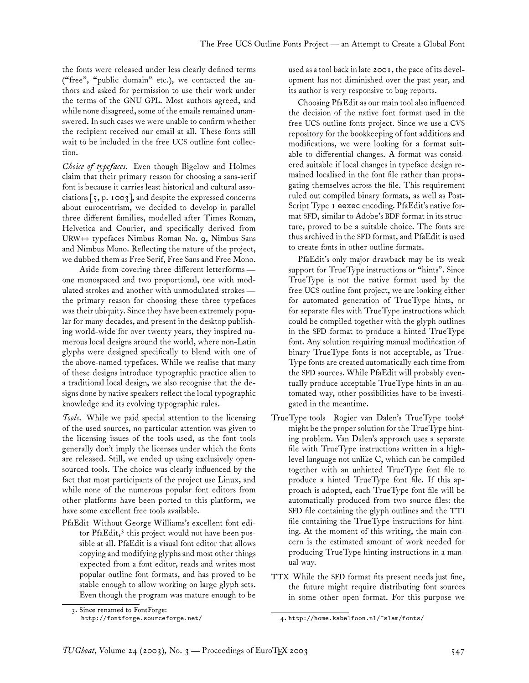the fonts were released under less clearly defined terms ("free", "public domain" etc.), we contacted the authors and asked for permission to use their work under the terms of the GNU GPL. Most authors agreed, and while none disagreed, some of the emails remained unanswered. In such cases we were unable to confirm whether the recipient received our email at all. These fonts still wait to be included in the free UCS outline font collection.

*Choice of typefaces.* Even though Bigelow and Holmes claim that their primary reason for choosing a sans-serif font is because it carries least historical and cultural associations  $\lceil 5, p. \text{ Ioo3} \rceil$ , and despite the expressed concerns about eurocentrism, we decided to develop in parallel three different families, modelled after Times Roman, Helvetica and Courier, and specifically derived from URW++ typefaces Nimbus Roman No. 9, Nimbus Sans and Nimbus Mono. Reflecting the nature of the project, we dubbed them as Free Serif, Free Sans and Free Mono.

Aside from covering three different letterforms one monospaced and two proportional, one with modulated strokes and another with unmodulated strokes the primary reason for choosing these three typefaces was their ubiquity. Since they have been extremely popular for many decades, and present in the desktop publishing world-wide for over twenty years, they inspired numerous local designs around the world, where non-Latin glyphs were designed specifically to blend with one of the above-named typefaces. While we realise that many of these designs introduce typographic practice alien to a traditional local design, we also recognise that the designs done by native speakers reflect the local typographic knowledge and its evolving typographic rules.

*Tools.* While we paid special attention to the licensing of the used sources, no particular attention was given to the licensing issues of the tools used, as the font tools generally don't imply the licenses under which the fonts are released. Still, we ended up using exclusively opensourced tools. The choice was clearly influenced by the fact that most participants of the project use Linux, and while none of the numerous popular font editors from other platforms have been ported to this platform, we have some excellent free tools available.

PfaEdit Without George Williams's excellent font editor PfaEdit,<sup>3</sup> this project would not have been possible at all. PfaEdit is a visual font editor that allows copying and modifying glyphs and most other things expected from a font editor, reads and writes most popular outline font formats, and has proved to be stable enough to allow working on large glyph sets. Even though the program was mature enough to be used as a tool back in late 2001, the pace of its development has not diminished over the past year, and its author is very responsive to bug reports.

Choosing PfaEdit as our main tool also influenced the decision of the native font format used in the free UCS outline fonts project. Since we use a CVS repository for the bookkeeping of font additions and modifications, we were looking for a format suitable to differential changes. A format was considered suitable if local changes in typeface design remained localised in the font file rather than propagating themselves across the file. This requirement ruled out compiled binary formats, as well as Post-Script Type 1 eexec encoding. PfaEdit's native format SFD, similar to Adobe's BDF format in its structure, proved to be a suitable choice. The fonts are thus archived in the SFD format, and PfaEdit is used to create fonts in other outline formats.

PfaEdit's only major drawback may be its weak support for TrueType instructions or "hints". Since TrueType is not the native format used by the free UCS outline font project, we are looking either for automated generation of TrueType hints, or for separate files with TrueType instructions which could be compiled together with the glyph outlines in the SFD format to produce a hinted TrueType font. Any solution requiring manual modification of binary TrueType fonts is not acceptable, as True-Type fonts are created automatically each time from the SFD sources. While PfaEdit will probably eventually produce acceptable TrueType hints in an automated way, other possibilities have to be investigated in the meantime.

- TrueType tools Rogier van Dalen's TrueType tools<sup>4</sup> might be the proper solution for the TrueType hinting problem. Van Dalen's approach uses a separate file with TrueType instructions written in a highlevel language not unlike C, which can be compiled together with an unhinted TrueType font file to produce a hinted TrueType font file. If this approach is adopted, each TrueType font file will be automatically produced from two source files: the SFD file containing the glyph outlines and the TTI file containing the TrueType instructions for hinting. At the moment of this writing, the main concern is the estimated amount of work needed for producing TrueType hinting instructions in a manual way.
- TTX While the SFD format fits present needs just fine, the future might require distributing font sources in some other open format. For this purpose we

<sup>3.</sup> Since renamed to FontForge: http://fontforge.sourceforge.net/

<sup>4.</sup> http://home.kabelfoon.nl/~slam/fonts/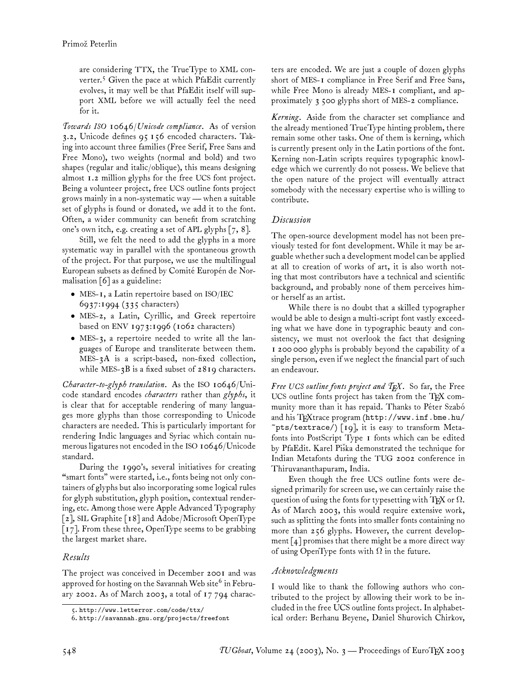are considering TTX, the TrueType to XML converter.<sup>5</sup> Given the pace at which PfaEdit currently evolves, it may well be that PfaEdit itself will support XML before we will actually feel the need for it.

*Towards ISO 10646/Unicode compliance.* As of version 3.2, Unicode defines 95 156 encoded characters. Taking into account three families (Free Serif, Free Sans and Free Mono), two weights (normal and bold) and two shapes (regular and italic/oblique), this means designing almost 1.2 million glyphs for the free UCS font project. Being a volunteer project, free UCS outline fonts project grows mainly in a non-systematic way — when a suitable set of glyphs is found or donated, we add it to the font. Often, a wider community can benefit from scratching one's own itch, e.g. creating a set of APL glyphs  $[7, 8]$ .

Still, we felt the need to add the glyphs in a more systematic way in parallel with the spontaneous growth of the project. For that purpose, we use the multilingual European subsets as defined by Comité Europén de Normalisation [6] as a guideline:

- MES-1, a Latin repertoire based on ISO/IEC 6937:1994 (335 characters)
- MES-2, a Latin, Cyrillic, and Greek repertoire based on ENV 1973:1996 (1062 characters)
- MES-3, a repertoire needed to write all the languages of Europe and transliterate between them. MES-3A is a script-based, non-fixed collection, while MES-3B is a fixed subset of 2819 characters.

*Character-to-glyph translation.* As the ISO 10646/Unicode standard encodes *characters* rather than *glyphs*, it is clear that for acceptable rendering of many languages more glyphs than those corresponding to Unicode characters are needed. This is particularly important for rendering Indic languages and Syriac which contain numerous ligatures not encoded in the ISO 10646/Unicode standard.

During the 1990's, several initiatives for creating "smart fonts" were started, i.e., fonts being not only containers of glyphs but also incorporating some logical rules for glyph substitution, glyph position, contextual rendering, etc. Among those were Apple Advanced Typography [2], SIL Graphite [18] and Adobe/Microsoft OpenType [17]. From these three, OpenType seems to be grabbing the largest market share.

## *Results*

The project was conceived in December 2001 and was approved for hosting on the Savannah Web site $^6$  in February 2002. As of March 2003, a total of 17 794 characters are encoded. We are just a couple of dozen glyphs short of MES-1 compliance in Free Serif and Free Sans, while Free Mono is already MES-1 compliant, and approximately 3 500 glyphs short of MES-2 compliance.

*Kerning.* Aside from the character set compliance and the already mentioned TrueType hinting problem, there remain some other tasks. One of them is kerning, which is currently present only in the Latin portions of the font. Kerning non-Latin scripts requires typographic knowledge which we currently do not possess. We believe that the open nature of the project will eventually attract somebody with the necessary expertise who is willing to contribute.

### *Discussion*

The open-source development model has not been previously tested for font development. While it may be arguable whether such a development model can be applied at all to creation of works of art, it is also worth noting that most contributors have a technical and scientific background, and probably none of them perceives himor herself as an artist.

While there is no doubt that a skilled typographer would be able to design a multi-script font vastly exceeding what we have done in typographic beauty and consistency, we must not overlook the fact that designing 1 200 000 glyphs is probably beyond the capability of a single person, even if we neglect the financial part of such an endeavour.

*Free UCS outline fonts project and TEX.* So far, the Free UCS outline fonts project has taken from the TEX community more than it has repaid. Thanks to Péter Szabó and his TEXtrace program (http://www.inf.bme.hu/  $\texttt{`pts/textrace/}\$  [19], it is easy to transform Metafonts into PostScript Type 1 fonts which can be edited by PfaEdit. Karel Piška demonstrated the technique for Indian Metafonts during the TUG 2002 conference in Thiruvananthapuram, India.

Even though the free UCS outline fonts were designed primarily for screen use, we can certainly raise the question of using the fonts for typesetting with TFX or  $\Omega$ . As of March 2003, this would require extensive work, such as splitting the fonts into smaller fonts containing no more than 256 glyphs. However, the current development  $\lceil 4 \rceil$  promises that there might be a more direct way of using OpenType fonts with  $\Omega$  in the future.

### *Acknowledgments*

I would like to thank the following authors who contributed to the project by allowing their work to be included in the free UCS outline fonts project. In alphabetical order: Berhanu Beyene, Daniel Shurovich Chirkov,

<sup>5.</sup> http://www.letterror.com/code/ttx/

<sup>6.</sup> http://savannah.gnu.org/projects/freefont